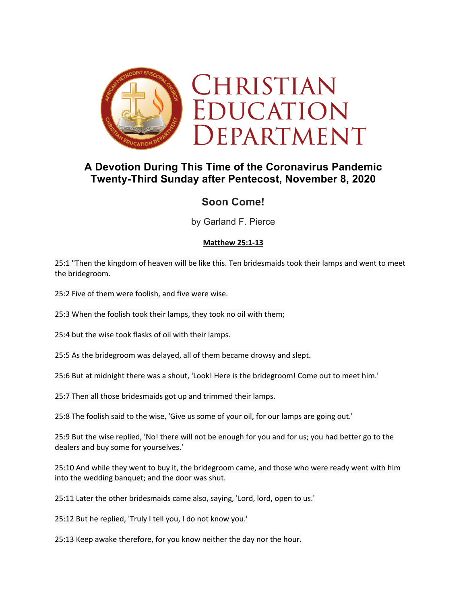

# **A Devotion During This Time of the Coronavirus Pandemic Twenty-Third Sunday after Pentecost, November 8, 2020**

## **Soon Come!**

by Garland F. Pierce

### **Matthew 25:1-13**

25:1 "Then the kingdom of heaven will be like this. Ten bridesmaids took their lamps and went to meet the bridegroom.

25:2 Five of them were foolish, and five were wise.

25:3 When the foolish took their lamps, they took no oil with them;

25:4 but the wise took flasks of oil with their lamps.

25:5 As the bridegroom was delayed, all of them became drowsy and slept.

25:6 But at midnight there was a shout, 'Look! Here is the bridegroom! Come out to meet him.'

25:7 Then all those bridesmaids got up and trimmed their lamps.

25:8 The foolish said to the wise, 'Give us some of your oil, for our lamps are going out.'

25:9 But the wise replied, 'No! there will not be enough for you and for us; you had better go to the dealers and buy some for yourselves.'

25:10 And while they went to buy it, the bridegroom came, and those who were ready went with him into the wedding banquet; and the door was shut.

25:11 Later the other bridesmaids came also, saying, 'Lord, lord, open to us.'

25:12 But he replied, 'Truly I tell you, I do not know you.'

25:13 Keep awake therefore, for you know neither the day nor the hour.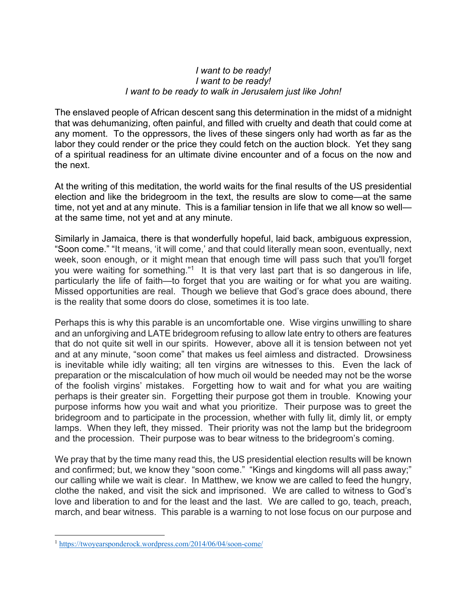#### *I want to be ready! I want to be ready! I want to be ready to walk in Jerusalem just like John!*

The enslaved people of African descent sang this determination in the midst of a midnight that was dehumanizing, often painful, and filled with cruelty and death that could come at any moment. To the oppressors, the lives of these singers only had worth as far as the labor they could render or the price they could fetch on the auction block. Yet they sang of a spiritual readiness for an ultimate divine encounter and of a focus on the now and the next.

At the writing of this meditation, the world waits for the final results of the US presidential election and like the bridegroom in the text, the results are slow to come—at the same time, not yet and at any minute. This is a familiar tension in life that we all know so well at the same time, not yet and at any minute.

Similarly in Jamaica, there is that wonderfully hopeful, laid back, ambiguous expression, "Soon come." "It means, 'it will come,' and that could literally mean soon, eventually, next week, soon enough, or it might mean that enough time will pass such that you'll forget you were waiting for something."<sup>1</sup> It is that very last part that is so dangerous in life, particularly the life of faith—to forget that you are waiting or for what you are waiting. Missed opportunities are real. Though we believe that God's grace does abound, there is the reality that some doors do close, sometimes it is too late.

Perhaps this is why this parable is an uncomfortable one. Wise virgins unwilling to share and an unforgiving and LATE bridegroom refusing to allow late entry to others are features that do not quite sit well in our spirits. However, above all it is tension between not yet and at any minute, "soon come" that makes us feel aimless and distracted. Drowsiness is inevitable while idly waiting; all ten virgins are witnesses to this. Even the lack of preparation or the miscalculation of how much oil would be needed may not be the worse of the foolish virgins' mistakes. Forgetting how to wait and for what you are waiting perhaps is their greater sin. Forgetting their purpose got them in trouble. Knowing your purpose informs how you wait and what you prioritize. Their purpose was to greet the bridegroom and to participate in the procession, whether with fully lit, dimly lit, or empty lamps. When they left, they missed. Their priority was not the lamp but the bridegroom and the procession. Their purpose was to bear witness to the bridegroom's coming.

We pray that by the time many read this, the US presidential election results will be known and confirmed; but, we know they "soon come." "Kings and kingdoms will all pass away;" our calling while we wait is clear. In Matthew, we know we are called to feed the hungry, clothe the naked, and visit the sick and imprisoned. We are called to witness to God's love and liberation to and for the least and the last. We are called to go, teach, preach, march, and bear witness. This parable is a warning to not lose focus on our purpose and

<sup>1</sup> https://twoyearsponderock.wordpress.com/2014/06/04/soon-come/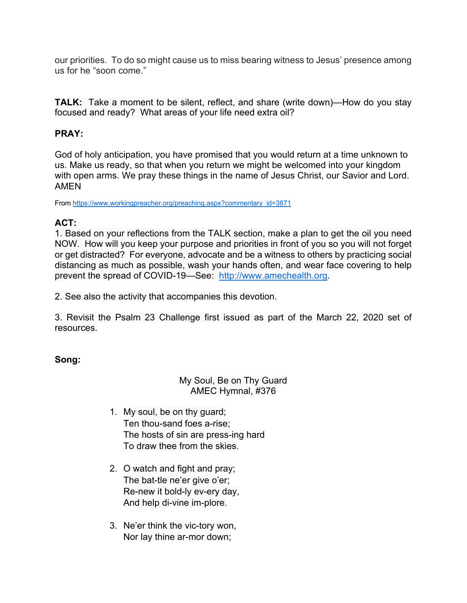our priorities. To do so might cause us to miss bearing witness to Jesus' presence among us for he "soon come."

**TALK:** Take a moment to be silent, reflect, and share (write down)—How do you stay focused and ready? What areas of your life need extra oil?

## **PRAY:**

God of holy anticipation, you have promised that you would return at a time unknown to us. Make us ready, so that when you return we might be welcomed into your kingdom with open arms. We pray these things in the name of Jesus Christ, our Savior and Lord. AMEN

From https://www.workingpreacher.org/preaching.aspx?commentary\_id=3871

## **ACT:**

1. Based on your reflections from the TALK section, make a plan to get the oil you need NOW. How will you keep your purpose and priorities in front of you so you will not forget or get distracted? For everyone, advocate and be a witness to others by practicing social distancing as much as possible, wash your hands often, and wear face covering to help prevent the spread of COVID-19—See: http://www.amechealth.org.

2. See also the activity that accompanies this devotion.

3. Revisit the Psalm 23 Challenge first issued as part of the March 22, 2020 set of resources.

### **Song:**

### My Soul, Be on Thy Guard AMEC Hymnal, #376

- 1. My soul, be on thy guard; Ten thou-sand foes a-rise; The hosts of sin are press-ing hard To draw thee from the skies.
- 2. O watch and fight and pray; The bat-tle ne'er give o'er; Re-new it bold-ly ev-ery day, And help di-vine im-plore.
- 3. Ne'er think the vic-tory won, Nor lay thine ar-mor down;